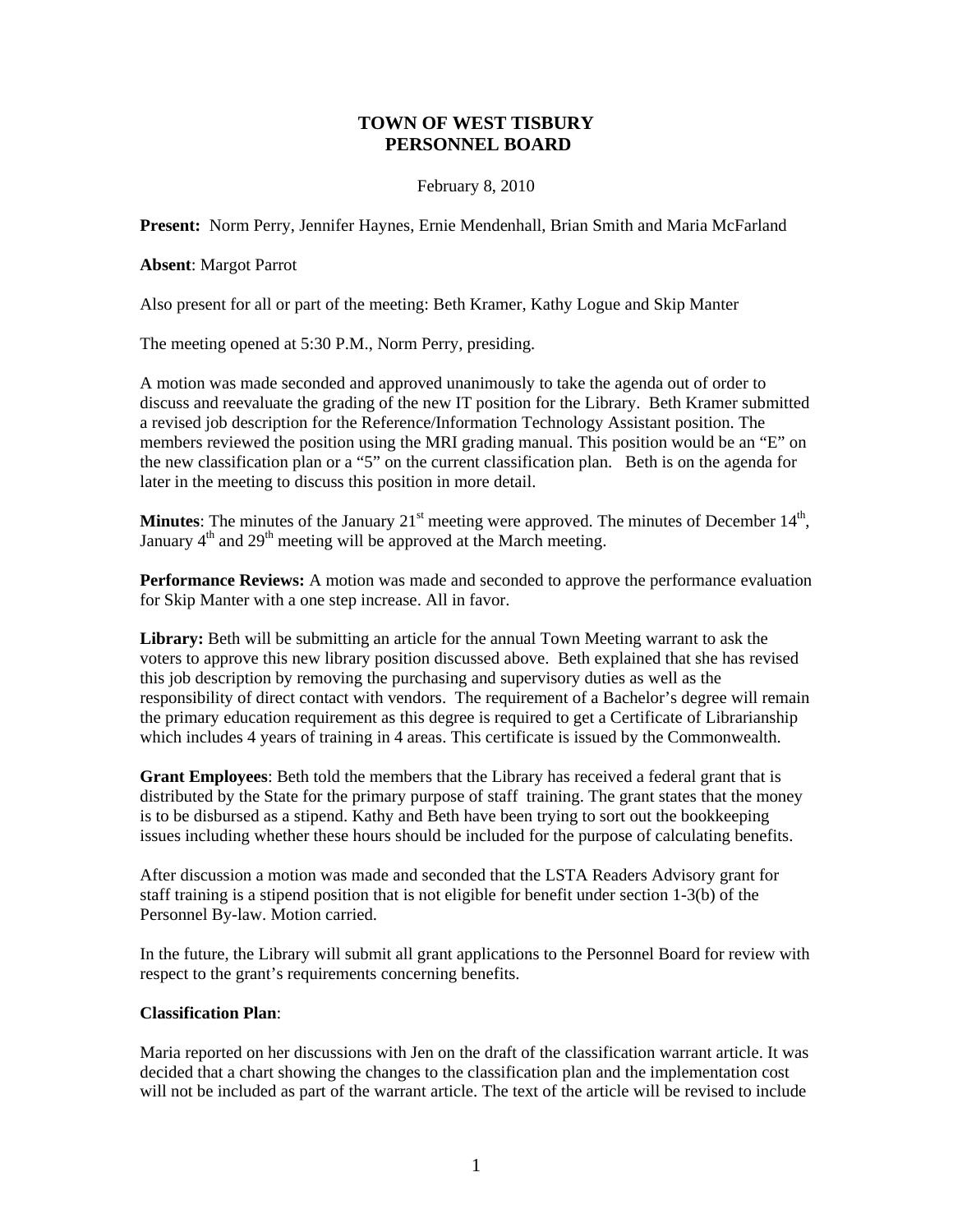# **TOWN OF WEST TISBURY PERSONNEL BOARD**

## February 8, 2010

**Present:** Norm Perry, Jennifer Haynes, Ernie Mendenhall, Brian Smith and Maria McFarland

### **Absent**: Margot Parrot

Also present for all or part of the meeting: Beth Kramer, Kathy Logue and Skip Manter

The meeting opened at 5:30 P.M., Norm Perry, presiding.

A motion was made seconded and approved unanimously to take the agenda out of order to discuss and reevaluate the grading of the new IT position for the Library. Beth Kramer submitted a revised job description for the Reference/Information Technology Assistant position. The members reviewed the position using the MRI grading manual. This position would be an "E" on the new classification plan or a "5" on the current classification plan. Beth is on the agenda for later in the meeting to discuss this position in more detail.

**Minutes**: The minutes of the January  $21<sup>st</sup>$  meeting were approved. The minutes of December  $14<sup>th</sup>$ , January  $4<sup>th</sup>$  and  $29<sup>th</sup>$  meeting will be approved at the March meeting.

**Performance Reviews:** A motion was made and seconded to approve the performance evaluation for Skip Manter with a one step increase. All in favor.

**Library:** Beth will be submitting an article for the annual Town Meeting warrant to ask the voters to approve this new library position discussed above. Beth explained that she has revised this job description by removing the purchasing and supervisory duties as well as the responsibility of direct contact with vendors. The requirement of a Bachelor's degree will remain the primary education requirement as this degree is required to get a Certificate of Librarianship which includes 4 years of training in 4 areas. This certificate is issued by the Commonwealth.

**Grant Employees**: Beth told the members that the Library has received a federal grant that is distributed by the State for the primary purpose of staff training. The grant states that the money is to be disbursed as a stipend. Kathy and Beth have been trying to sort out the bookkeeping issues including whether these hours should be included for the purpose of calculating benefits.

After discussion a motion was made and seconded that the LSTA Readers Advisory grant for staff training is a stipend position that is not eligible for benefit under section 1-3(b) of the Personnel By-law. Motion carried.

In the future, the Library will submit all grant applications to the Personnel Board for review with respect to the grant's requirements concerning benefits.

#### **Classification Plan**:

Maria reported on her discussions with Jen on the draft of the classification warrant article. It was decided that a chart showing the changes to the classification plan and the implementation cost will not be included as part of the warrant article. The text of the article will be revised to include